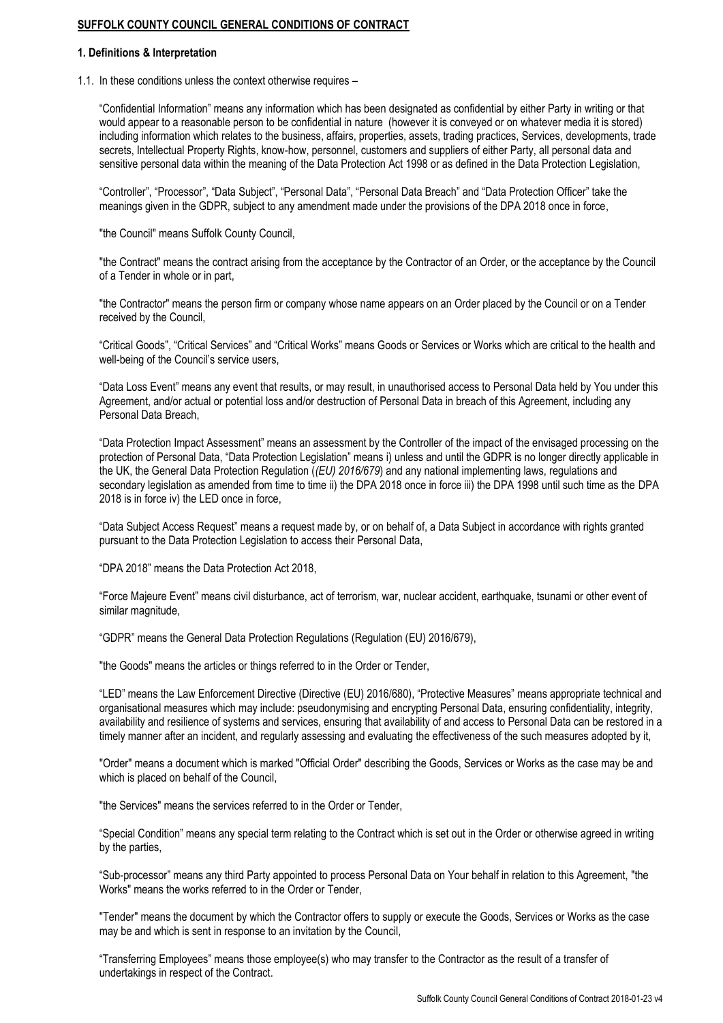# **SUFFOLK COUNTY COUNCIL GENERAL CONDITIONS OF CONTRACT**

### **1. Definitions & Interpretation**

1.1. In these conditions unless the context otherwise requires –

"Confidential Information" means any information which has been designated as confidential by either Party in writing or that would appear to a reasonable person to be confidential in nature (however it is conveyed or on whatever media it is stored) including information which relates to the business, affairs, properties, assets, trading practices, Services, developments, trade secrets, Intellectual Property Rights, know-how, personnel, customers and suppliers of either Party, all personal data and sensitive personal data within the meaning of the Data Protection Act 1998 or as defined in the Data Protection Legislation,

"Controller", "Processor", "Data Subject", "Personal Data", "Personal Data Breach" and "Data Protection Officer" take the meanings given in the GDPR, subject to any amendment made under the provisions of the DPA 2018 once in force,

"the Council" means Suffolk County Council,

"the Contract" means the contract arising from the acceptance by the Contractor of an Order, or the acceptance by the Council of a Tender in whole or in part,

"the Contractor" means the person firm or company whose name appears on an Order placed by the Council or on a Tender received by the Council,

"Critical Goods", "Critical Services" and "Critical Works" means Goods or Services or Works which are critical to the health and well-being of the Council's service users,

"Data Loss Event" means any event that results, or may result, in unauthorised access to Personal Data held by You under this Agreement, and/or actual or potential loss and/or destruction of Personal Data in breach of this Agreement, including any Personal Data Breach,

"Data Protection Impact Assessment" means an assessment by the Controller of the impact of the envisaged processing on the protection of Personal Data, "Data Protection Legislation" means i) unless and until the GDPR is no longer directly applicable in the UK, the General Data Protection Regulation (*(EU) 2016/679*) and any national implementing laws, regulations and secondary legislation as amended from time to time ii) the DPA 2018 once in force iii) the DPA 1998 until such time as the DPA 2018 is in force iv) the LED once in force,

"Data Subject Access Request" means a request made by, or on behalf of, a Data Subject in accordance with rights granted pursuant to the Data Protection Legislation to access their Personal Data,

"DPA 2018" means the Data Protection Act 2018,

"Force Majeure Event" means civil disturbance, act of terrorism, war, nuclear accident, earthquake, tsunami or other event of similar magnitude,

"GDPR" means the General Data Protection Regulations (Regulation (EU) 2016/679),

"the Goods" means the articles or things referred to in the Order or Tender,

"LED" means the Law Enforcement Directive (Directive (EU) 2016/680), "Protective Measures" means appropriate technical and organisational measures which may include: pseudonymising and encrypting Personal Data, ensuring confidentiality, integrity, availability and resilience of systems and services, ensuring that availability of and access to Personal Data can be restored in a timely manner after an incident, and regularly assessing and evaluating the effectiveness of the such measures adopted by it,

"Order" means a document which is marked "Official Order" describing the Goods, Services or Works as the case may be and which is placed on behalf of the Council,

"the Services" means the services referred to in the Order or Tender,

"Special Condition" means any special term relating to the Contract which is set out in the Order or otherwise agreed in writing by the parties,

"Sub-processor" means any third Party appointed to process Personal Data on Your behalf in relation to this Agreement, "the Works" means the works referred to in the Order or Tender,

"Tender" means the document by which the Contractor offers to supply or execute the Goods, Services or Works as the case may be and which is sent in response to an invitation by the Council,

"Transferring Employees" means those employee(s) who may transfer to the Contractor as the result of a transfer of undertakings in respect of the Contract.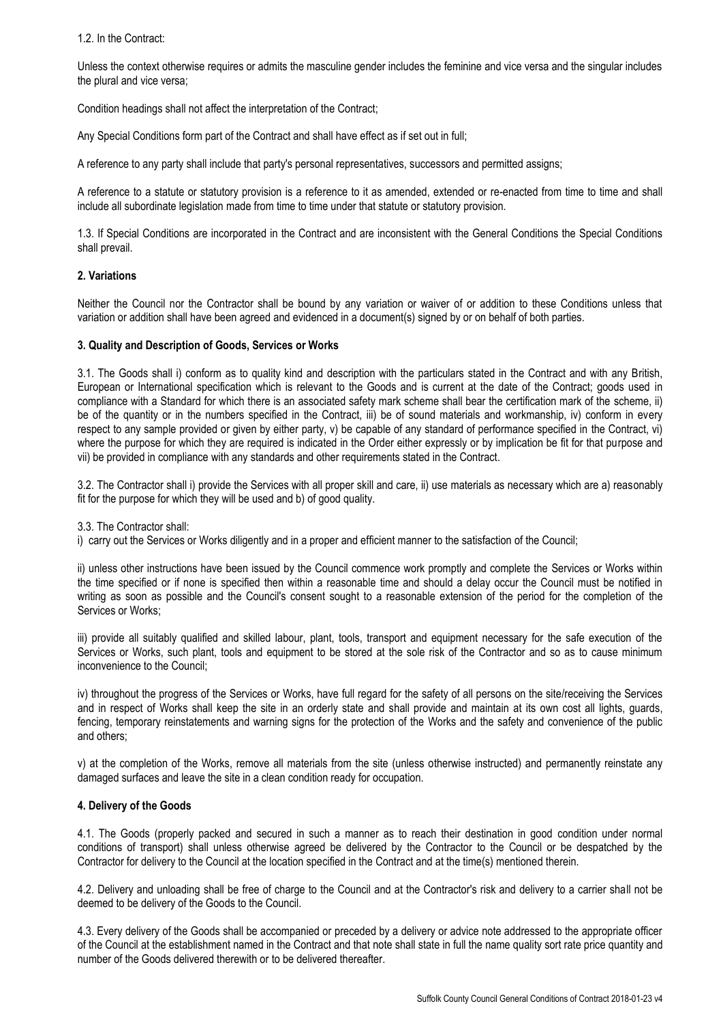1.2. In the Contract:

Unless the context otherwise requires or admits the masculine gender includes the feminine and vice versa and the singular includes the plural and vice versa;

Condition headings shall not affect the interpretation of the Contract;

Any Special Conditions form part of the Contract and shall have effect as if set out in full;

A reference to any party shall include that party's personal representatives, successors and permitted assigns;

A reference to a statute or statutory provision is a reference to it as amended, extended or re-enacted from time to time and shall include all subordinate legislation made from time to time under that statute or statutory provision.

1.3. If Special Conditions are incorporated in the Contract and are inconsistent with the General Conditions the Special Conditions shall prevail.

## **2. Variations**

Neither the Council nor the Contractor shall be bound by any variation or waiver of or addition to these Conditions unless that variation or addition shall have been agreed and evidenced in a document(s) signed by or on behalf of both parties.

### **3. Quality and Description of Goods, Services or Works**

3.1. The Goods shall i) conform as to quality kind and description with the particulars stated in the Contract and with any British, European or International specification which is relevant to the Goods and is current at the date of the Contract; goods used in compliance with a Standard for which there is an associated safety mark scheme shall bear the certification mark of the scheme, ii) be of the quantity or in the numbers specified in the Contract, iii) be of sound materials and workmanship, iv) conform in every respect to any sample provided or given by either party, v) be capable of any standard of performance specified in the Contract, vi) where the purpose for which they are required is indicated in the Order either expressly or by implication be fit for that purpose and vii) be provided in compliance with any standards and other requirements stated in the Contract.

3.2. The Contractor shall i) provide the Services with all proper skill and care, ii) use materials as necessary which are a) reasonably fit for the purpose for which they will be used and b) of good quality.

3.3. The Contractor shall:

i) carry out the Services or Works diligently and in a proper and efficient manner to the satisfaction of the Council;

ii) unless other instructions have been issued by the Council commence work promptly and complete the Services or Works within the time specified or if none is specified then within a reasonable time and should a delay occur the Council must be notified in writing as soon as possible and the Council's consent sought to a reasonable extension of the period for the completion of the Services or Works;

iii) provide all suitably qualified and skilled labour, plant, tools, transport and equipment necessary for the safe execution of the Services or Works, such plant, tools and equipment to be stored at the sole risk of the Contractor and so as to cause minimum inconvenience to the Council;

iv) throughout the progress of the Services or Works, have full regard for the safety of all persons on the site/receiving the Services and in respect of Works shall keep the site in an orderly state and shall provide and maintain at its own cost all lights, guards, fencing, temporary reinstatements and warning signs for the protection of the Works and the safety and convenience of the public and others;

v) at the completion of the Works, remove all materials from the site (unless otherwise instructed) and permanently reinstate any damaged surfaces and leave the site in a clean condition ready for occupation.

### **4. Delivery of the Goods**

4.1. The Goods (properly packed and secured in such a manner as to reach their destination in good condition under normal conditions of transport) shall unless otherwise agreed be delivered by the Contractor to the Council or be despatched by the Contractor for delivery to the Council at the location specified in the Contract and at the time(s) mentioned therein.

4.2. Delivery and unloading shall be free of charge to the Council and at the Contractor's risk and delivery to a carrier shall not be deemed to be delivery of the Goods to the Council.

4.3. Every delivery of the Goods shall be accompanied or preceded by a delivery or advice note addressed to the appropriate officer of the Council at the establishment named in the Contract and that note shall state in full the name quality sort rate price quantity and number of the Goods delivered therewith or to be delivered thereafter.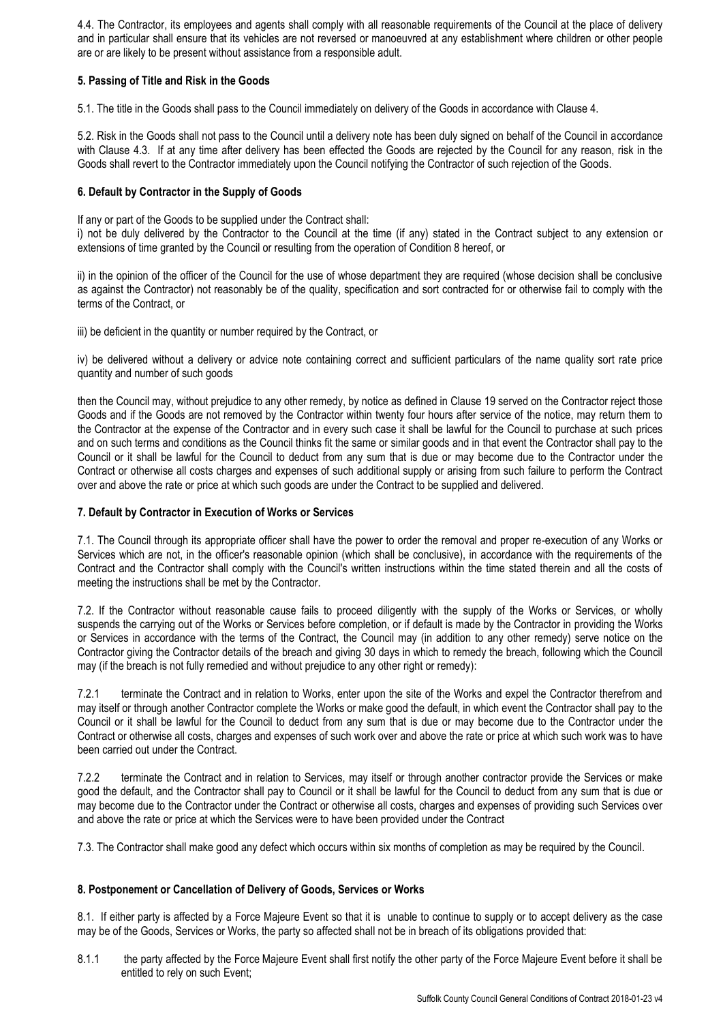4.4. The Contractor, its employees and agents shall comply with all reasonable requirements of the Council at the place of delivery and in particular shall ensure that its vehicles are not reversed or manoeuvred at any establishment where children or other people are or are likely to be present without assistance from a responsible adult.

# **5. Passing of Title and Risk in the Goods**

5.1. The title in the Goods shall pass to the Council immediately on delivery of the Goods in accordance with Clause 4.

5.2. Risk in the Goods shall not pass to the Council until a delivery note has been duly signed on behalf of the Council in accordance with Clause 4.3. If at any time after delivery has been effected the Goods are rejected by the Council for any reason, risk in the Goods shall revert to the Contractor immediately upon the Council notifying the Contractor of such rejection of the Goods.

# **6. Default by Contractor in the Supply of Goods**

If any or part of the Goods to be supplied under the Contract shall:

i) not be duly delivered by the Contractor to the Council at the time (if any) stated in the Contract subject to any extension or extensions of time granted by the Council or resulting from the operation of Condition 8 hereof, or

ii) in the opinion of the officer of the Council for the use of whose department they are required (whose decision shall be conclusive as against the Contractor) not reasonably be of the quality, specification and sort contracted for or otherwise fail to comply with the terms of the Contract, or

iii) be deficient in the quantity or number required by the Contract, or

iv) be delivered without a delivery or advice note containing correct and sufficient particulars of the name quality sort rate price quantity and number of such goods

then the Council may, without prejudice to any other remedy, by notice as defined in Clause 19 served on the Contractor reject those Goods and if the Goods are not removed by the Contractor within twenty four hours after service of the notice, may return them to the Contractor at the expense of the Contractor and in every such case it shall be lawful for the Council to purchase at such prices and on such terms and conditions as the Council thinks fit the same or similar goods and in that event the Contractor shall pay to the Council or it shall be lawful for the Council to deduct from any sum that is due or may become due to the Contractor under the Contract or otherwise all costs charges and expenses of such additional supply or arising from such failure to perform the Contract over and above the rate or price at which such goods are under the Contract to be supplied and delivered.

# **7. Default by Contractor in Execution of Works or Services**

7.1. The Council through its appropriate officer shall have the power to order the removal and proper re-execution of any Works or Services which are not, in the officer's reasonable opinion (which shall be conclusive), in accordance with the requirements of the Contract and the Contractor shall comply with the Council's written instructions within the time stated therein and all the costs of meeting the instructions shall be met by the Contractor.

7.2. If the Contractor without reasonable cause fails to proceed diligently with the supply of the Works or Services, or wholly suspends the carrying out of the Works or Services before completion, or if default is made by the Contractor in providing the Works or Services in accordance with the terms of the Contract, the Council may (in addition to any other remedy) serve notice on the Contractor giving the Contractor details of the breach and giving 30 days in which to remedy the breach, following which the Council may (if the breach is not fully remedied and without prejudice to any other right or remedy):

7.2.1 terminate the Contract and in relation to Works, enter upon the site of the Works and expel the Contractor therefrom and may itself or through another Contractor complete the Works or make good the default, in which event the Contractor shall pay to the Council or it shall be lawful for the Council to deduct from any sum that is due or may become due to the Contractor under the Contract or otherwise all costs, charges and expenses of such work over and above the rate or price at which such work was to have been carried out under the Contract.

7.2.2 terminate the Contract and in relation to Services, may itself or through another contractor provide the Services or make good the default, and the Contractor shall pay to Council or it shall be lawful for the Council to deduct from any sum that is due or may become due to the Contractor under the Contract or otherwise all costs, charges and expenses of providing such Services over and above the rate or price at which the Services were to have been provided under the Contract

7.3. The Contractor shall make good any defect which occurs within six months of completion as may be required by the Council.

# **8. Postponement or Cancellation of Delivery of Goods, Services or Works**

8.1. If either party is affected by a Force Majeure Event so that it is unable to continue to supply or to accept delivery as the case may be of the Goods, Services or Works, the party so affected shall not be in breach of its obligations provided that:

8.1.1 the party affected by the Force Majeure Event shall first notify the other party of the Force Majeure Event before it shall be entitled to rely on such Event;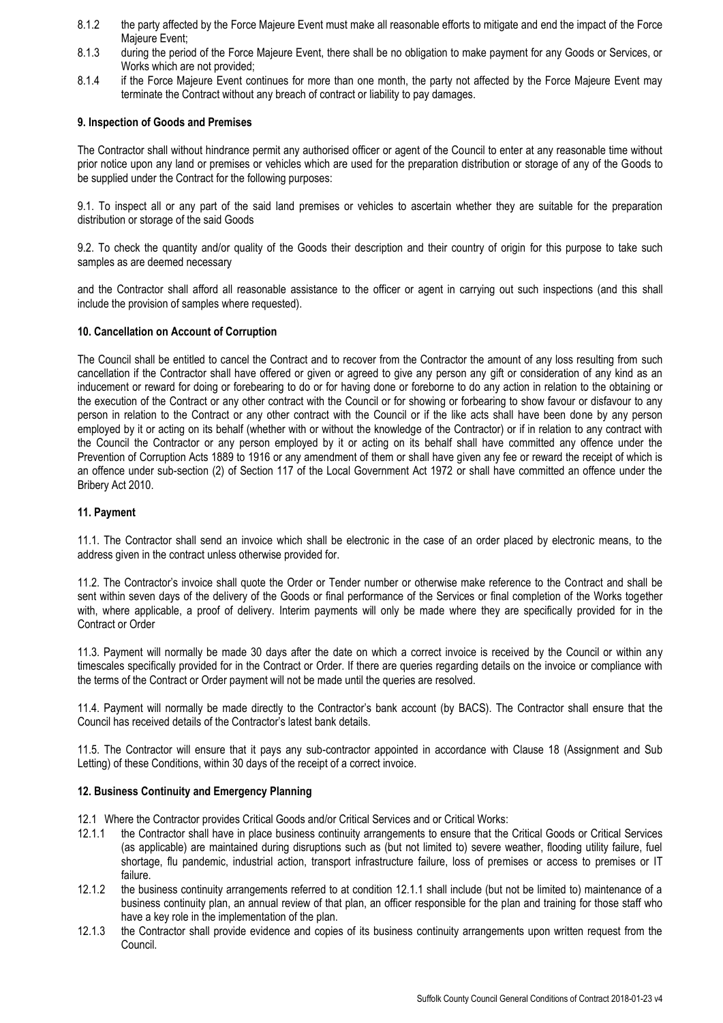- 8.1.2 the party affected by the Force Majeure Event must make all reasonable efforts to mitigate and end the impact of the Force Majeure Event;
- 8.1.3 during the period of the Force Majeure Event, there shall be no obligation to make payment for any Goods or Services, or Works which are not provided;
- 8.1.4 if the Force Majeure Event continues for more than one month, the party not affected by the Force Majeure Event may terminate the Contract without any breach of contract or liability to pay damages.

### **9. Inspection of Goods and Premises**

The Contractor shall without hindrance permit any authorised officer or agent of the Council to enter at any reasonable time without prior notice upon any land or premises or vehicles which are used for the preparation distribution or storage of any of the Goods to be supplied under the Contract for the following purposes:

9.1. To inspect all or any part of the said land premises or vehicles to ascertain whether they are suitable for the preparation distribution or storage of the said Goods

9.2. To check the quantity and/or quality of the Goods their description and their country of origin for this purpose to take such samples as are deemed necessary

and the Contractor shall afford all reasonable assistance to the officer or agent in carrying out such inspections (and this shall include the provision of samples where requested).

## **10. Cancellation on Account of Corruption**

The Council shall be entitled to cancel the Contract and to recover from the Contractor the amount of any loss resulting from such cancellation if the Contractor shall have offered or given or agreed to give any person any gift or consideration of any kind as an inducement or reward for doing or forebearing to do or for having done or foreborne to do any action in relation to the obtaining or the execution of the Contract or any other contract with the Council or for showing or forbearing to show favour or disfavour to any person in relation to the Contract or any other contract with the Council or if the like acts shall have been done by any person employed by it or acting on its behalf (whether with or without the knowledge of the Contractor) or if in relation to any contract with the Council the Contractor or any person employed by it or acting on its behalf shall have committed any offence under the Prevention of Corruption Acts 1889 to 1916 or any amendment of them or shall have given any fee or reward the receipt of which is an offence under sub-section (2) of Section 117 of the Local Government Act 1972 or shall have committed an offence under the Bribery Act 2010.

## **11. Payment**

11.1. The Contractor shall send an invoice which shall be electronic in the case of an order placed by electronic means, to the address given in the contract unless otherwise provided for.

11.2. The Contractor's invoice shall quote the Order or Tender number or otherwise make reference to the Contract and shall be sent within seven days of the delivery of the Goods or final performance of the Services or final completion of the Works together with, where applicable, a proof of delivery. Interim payments will only be made where they are specifically provided for in the Contract or Order

11.3. Payment will normally be made 30 days after the date on which a correct invoice is received by the Council or within any timescales specifically provided for in the Contract or Order. If there are queries regarding details on the invoice or compliance with the terms of the Contract or Order payment will not be made until the queries are resolved.

11.4. Payment will normally be made directly to the Contractor's bank account (by BACS). The Contractor shall ensure that the Council has received details of the Contractor's latest bank details.

11.5. The Contractor will ensure that it pays any sub-contractor appointed in accordance with Clause 18 (Assignment and Sub Letting) of these Conditions, within 30 days of the receipt of a correct invoice.

### **12. Business Continuity and Emergency Planning**

- 12.1 Where the Contractor provides Critical Goods and/or Critical Services and or Critical Works:
- 12.1.1 the Contractor shall have in place business continuity arrangements to ensure that the Critical Goods or Critical Services (as applicable) are maintained during disruptions such as (but not limited to) severe weather, flooding utility failure, fuel shortage, flu pandemic, industrial action, transport infrastructure failure, loss of premises or access to premises or IT failure.
- 12.1.2 the business continuity arrangements referred to at condition 12.1.1 shall include (but not be limited to) maintenance of a business continuity plan, an annual review of that plan, an officer responsible for the plan and training for those staff who have a key role in the implementation of the plan.
- 12.1.3 the Contractor shall provide evidence and copies of its business continuity arrangements upon written request from the Council.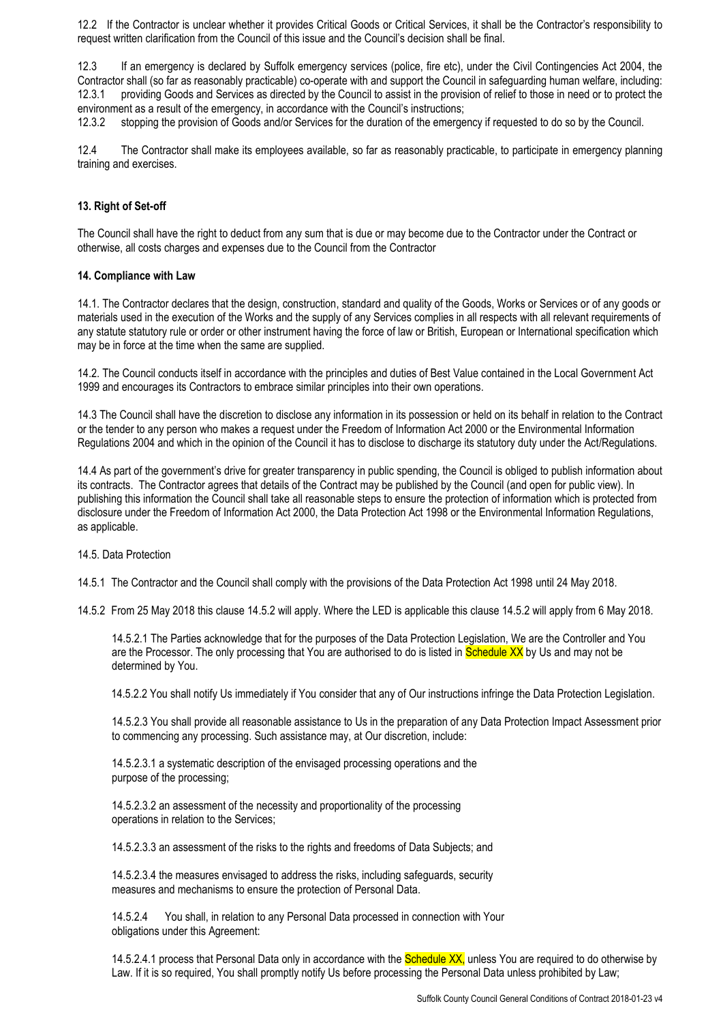12.2 If the Contractor is unclear whether it provides Critical Goods or Critical Services, it shall be the Contractor's responsibility to request written clarification from the Council of this issue and the Council's decision shall be final.

12.3 If an emergency is declared by Suffolk emergency services (police, fire etc), under the Civil Contingencies Act 2004, the Contractor shall (so far as reasonably practicable) co-operate with and support the Council in safeguarding human welfare, including: 12.3.1 providing Goods and Services as directed by the Council to assist in the provision of relief to those in need or to protect the environment as a result of the emergency, in accordance with the Council's instructions;

12.3.2 stopping the provision of Goods and/or Services for the duration of the emergency if requested to do so by the Council.

12.4 The Contractor shall make its employees available, so far as reasonably practicable, to participate in emergency planning training and exercises.

### **13. Right of Set-off**

The Council shall have the right to deduct from any sum that is due or may become due to the Contractor under the Contract or otherwise, all costs charges and expenses due to the Council from the Contractor

#### **14. Compliance with Law**

14.1. The Contractor declares that the design, construction, standard and quality of the Goods, Works or Services or of any goods or materials used in the execution of the Works and the supply of any Services complies in all respects with all relevant requirements of any statute statutory rule or order or other instrument having the force of law or British, European or International specification which may be in force at the time when the same are supplied.

14.2. The Council conducts itself in accordance with the principles and duties of Best Value contained in the Local Government Act 1999 and encourages its Contractors to embrace similar principles into their own operations.

14.3 The Council shall have the discretion to disclose any information in its possession or held on its behalf in relation to the Contract or the tender to any person who makes a request under the Freedom of Information Act 2000 or the Environmental Information Regulations 2004 and which in the opinion of the Council it has to disclose to discharge its statutory duty under the Act/Regulations.

14.4 As part of the government's drive for greater transparency in public spending, the Council is obliged to publish information about its contracts. The Contractor agrees that details of the Contract may be published by the Council (and open for public view). In publishing this information the Council shall take all reasonable steps to ensure the protection of information which is protected from disclosure under the Freedom of Information Act 2000, the Data Protection Act 1998 or the Environmental Information Regulations, as applicable.

14.5. Data Protection

14.5.1 The Contractor and the Council shall comply with the provisions of the Data Protection Act 1998 until 24 May 2018.

14.5.2 From 25 May 2018 this clause 14.5.2 will apply. Where the LED is applicable this clause 14.5.2 will apply from 6 May 2018.

14.5.2.1 The Parties acknowledge that for the purposes of the Data Protection Legislation, We are the Controller and You are the Processor. The only processing that You are authorised to do is listed in Schedule XX by Us and may not be determined by You.

14.5.2.2 You shall notify Us immediately if You consider that any of Our instructions infringe the Data Protection Legislation.

14.5.2.3 You shall provide all reasonable assistance to Us in the preparation of any Data Protection Impact Assessment prior to commencing any processing. Such assistance may, at Our discretion, include:

14.5.2.3.1 a systematic description of the envisaged processing operations and the purpose of the processing;

14.5.2.3.2 an assessment of the necessity and proportionality of the processing operations in relation to the Services;

14.5.2.3.3 an assessment of the risks to the rights and freedoms of Data Subjects; and

14.5.2.3.4 the measures envisaged to address the risks, including safeguards, security measures and mechanisms to ensure the protection of Personal Data.

14.5.2.4 You shall, in relation to any Personal Data processed in connection with Your obligations under this Agreement:

14.5.2.4.1 process that Personal Data only in accordance with the **Schedule XX**, unless You are required to do otherwise by Law. If it is so required, You shall promptly notify Us before processing the Personal Data unless prohibited by Law;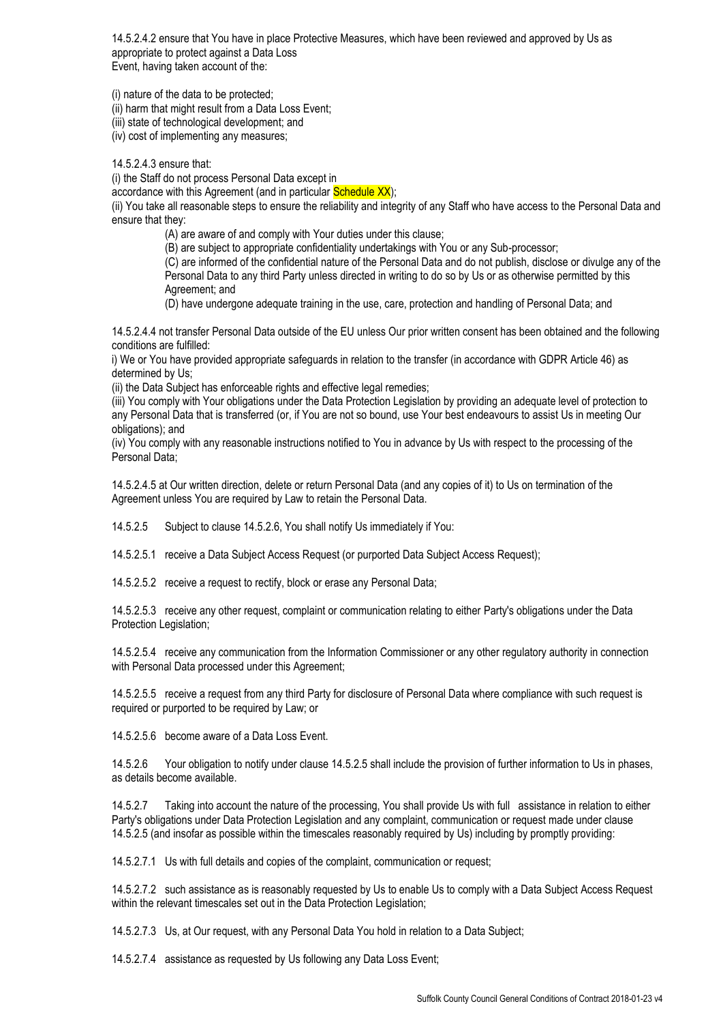14.5.2.4.2 ensure that You have in place Protective Measures, which have been reviewed and approved by Us as appropriate to protect against a Data Loss Event, having taken account of the:

(i) nature of the data to be protected;

(ii) harm that might result from a Data Loss Event;

(iii) state of technological development; and

(iv) cost of implementing any measures;

14.5.2.4.3 ensure that:

(i) the Staff do not process Personal Data except in

accordance with this Agreement (and in particular Schedule XX);

(ii) You take all reasonable steps to ensure the reliability and integrity of any Staff who have access to the Personal Data and ensure that they:

(A) are aware of and comply with Your duties under this clause;

(B) are subject to appropriate confidentiality undertakings with You or any Sub-processor;

(C) are informed of the confidential nature of the Personal Data and do not publish, disclose or divulge any of the Personal Data to any third Party unless directed in writing to do so by Us or as otherwise permitted by this Agreement; and

(D) have undergone adequate training in the use, care, protection and handling of Personal Data; and

14.5.2.4.4 not transfer Personal Data outside of the EU unless Our prior written consent has been obtained and the following conditions are fulfilled:

i) We or You have provided appropriate safeguards in relation to the transfer (in accordance with GDPR Article 46) as determined by Us;

(ii) the Data Subject has enforceable rights and effective legal remedies;

(iii) You comply with Your obligations under the Data Protection Legislation by providing an adequate level of protection to any Personal Data that is transferred (or, if You are not so bound, use Your best endeavours to assist Us in meeting Our obligations); and

(iv) You comply with any reasonable instructions notified to You in advance by Us with respect to the processing of the Personal Data;

14.5.2.4.5 at Our written direction, delete or return Personal Data (and any copies of it) to Us on termination of the Agreement unless You are required by Law to retain the Personal Data.

14.5.2.5 Subject to clause 14.5.2.6, You shall notify Us immediately if You:

14.5.2.5.1 receive a Data Subject Access Request (or purported Data Subject Access Request);

14.5.2.5.2 receive a request to rectify, block or erase any Personal Data;

14.5.2.5.3 receive any other request, complaint or communication relating to either Party's obligations under the Data Protection Legislation;

14.5.2.5.4 receive any communication from the Information Commissioner or any other regulatory authority in connection with Personal Data processed under this Agreement;

14.5.2.5.5 receive a request from any third Party for disclosure of Personal Data where compliance with such request is required or purported to be required by Law; or

14.5.2.5.6 become aware of a Data Loss Event.

14.5.2.6 Your obligation to notify under clause 14.5.2.5 shall include the provision of further information to Us in phases, as details become available.

14.5.2.7 Taking into account the nature of the processing, You shall provide Us with full assistance in relation to either Party's obligations under Data Protection Legislation and any complaint, communication or request made under clause 14.5.2.5 (and insofar as possible within the timescales reasonably required by Us) including by promptly providing:

14.5.2.7.1 Us with full details and copies of the complaint, communication or request;

14.5.2.7.2 such assistance as is reasonably requested by Us to enable Us to comply with a Data Subject Access Request within the relevant timescales set out in the Data Protection Legislation;

14.5.2.7.3 Us, at Our request, with any Personal Data You hold in relation to a Data Subject;

14.5.2.7.4 assistance as requested by Us following any Data Loss Event;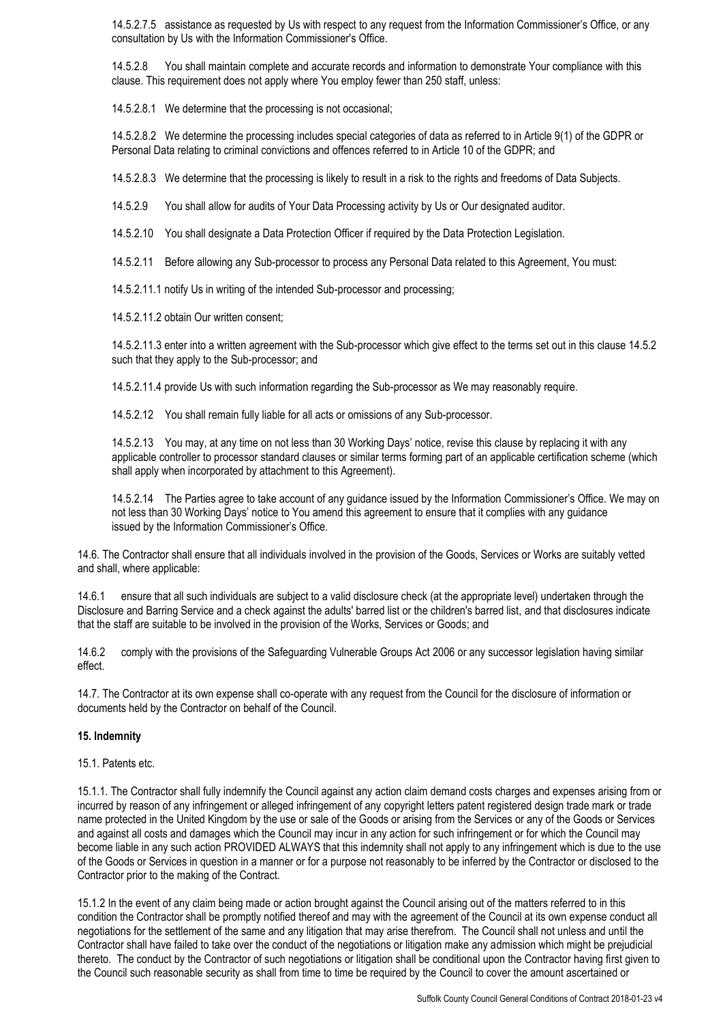14.5.2.7.5 assistance as requested by Us with respect to any request from the Information Commissioner's Office, or any consultation by Us with the Information Commissioner's Office.

14.5.2.8 You shall maintain complete and accurate records and information to demonstrate Your compliance with this clause. This requirement does not apply where You employ fewer than 250 staff, unless:

14.5.2.8.1 We determine that the processing is not occasional;

14.5.2.8.2 We determine the processing includes special categories of data as referred to in Article 9(1) of the GDPR or Personal Data relating to criminal convictions and offences referred to in Article 10 of the GDPR; and

14.5.2.8.3 We determine that the processing is likely to result in a risk to the rights and freedoms of Data Subjects.

14.5.2.9 You shall allow for audits of Your Data Processing activity by Us or Our designated auditor.

14.5.2.10 You shall designate a Data Protection Officer if required by the Data Protection Legislation.

14.5.2.11 Before allowing any Sub-processor to process any Personal Data related to this Agreement, You must:

14.5.2.11.1 notify Us in writing of the intended Sub-processor and processing;

14.5.2.11.2 obtain Our written consent;

14.5.2.11.3 enter into a written agreement with the Sub-processor which give effect to the terms set out in this clause 14.5.2 such that they apply to the Sub-processor; and

14.5.2.11.4 provide Us with such information regarding the Sub-processor as We may reasonably require.

14.5.2.12 You shall remain fully liable for all acts or omissions of any Sub-processor.

14.5.2.13 You may, at any time on not less than 30 Working Days' notice, revise this clause by replacing it with any applicable controller to processor standard clauses or similar terms forming part of an applicable certification scheme (which shall apply when incorporated by attachment to this Agreement).

14.5.2.14 The Parties agree to take account of any guidance issued by the Information Commissioner's Office. We may on not less than 30 Working Days' notice to You amend this agreement to ensure that it complies with any guidance issued by the Information Commissioner's Office.

14.6. The Contractor shall ensure that all individuals involved in the provision of the Goods, Services or Works are suitably vetted and shall, where applicable:

14.6.1 ensure that all such individuals are subject to a valid disclosure check (at the appropriate level) undertaken through the Disclosure and Barring Service and a check against the adults' barred list or the children's barred list, and that disclosures indicate that the staff are suitable to be involved in the provision of the Works, Services or Goods; and

14.6.2 comply with the provisions of the Safeguarding Vulnerable Groups Act 2006 or any successor legislation having similar effect.

14.7. The Contractor at its own expense shall co-operate with any request from the Council for the disclosure of information or documents held by the Contractor on behalf of the Council.

#### **15. Indemnity**

15.1. Patents etc.

15.1.1. The Contractor shall fully indemnify the Council against any action claim demand costs charges and expenses arising from or incurred by reason of any infringement or alleged infringement of any copyright letters patent registered design trade mark or trade name protected in the United Kingdom by the use or sale of the Goods or arising from the Services or any of the Goods or Services and against all costs and damages which the Council may incur in any action for such infringement or for which the Council may become liable in any such action PROVIDED ALWAYS that this indemnity shall not apply to any infringement which is due to the use of the Goods or Services in question in a manner or for a purpose not reasonably to be inferred by the Contractor or disclosed to the Contractor prior to the making of the Contract.

15.1.2 In the event of any claim being made or action brought against the Council arising out of the matters referred to in this condition the Contractor shall be promptly notified thereof and may with the agreement of the Council at its own expense conduct all negotiations for the settlement of the same and any litigation that may arise therefrom. The Council shall not unless and until the Contractor shall have failed to take over the conduct of the negotiations or litigation make any admission which might be prejudicial thereto. The conduct by the Contractor of such negotiations or litigation shall be conditional upon the Contractor having first given to the Council such reasonable security as shall from time to time be required by the Council to cover the amount ascertained or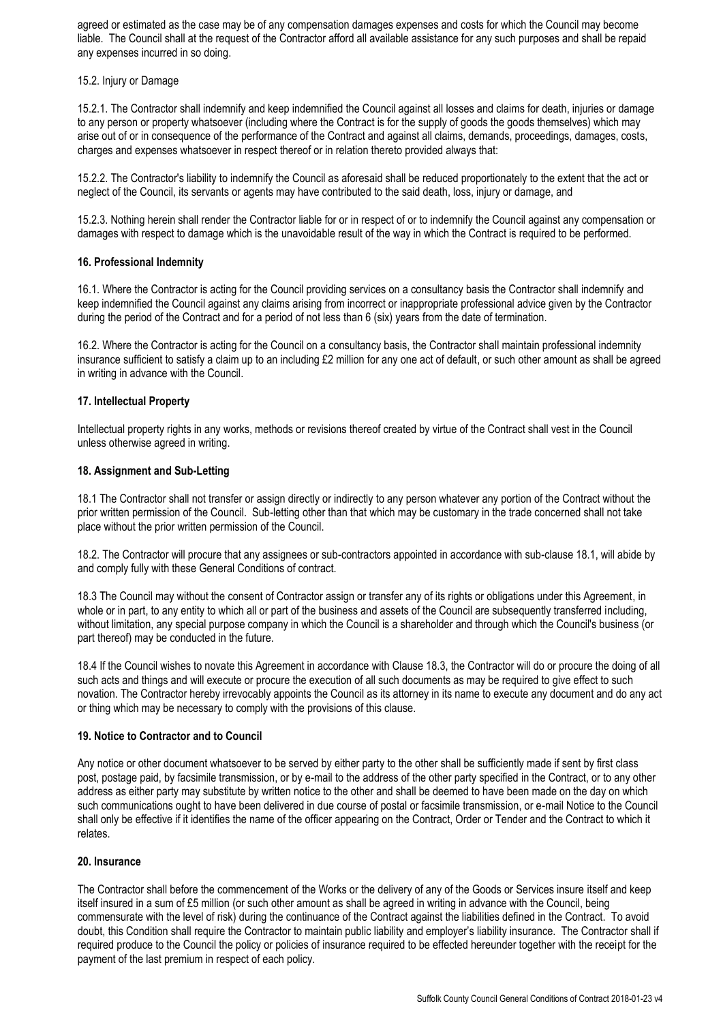agreed or estimated as the case may be of any compensation damages expenses and costs for which the Council may become liable. The Council shall at the request of the Contractor afford all available assistance for any such purposes and shall be repaid any expenses incurred in so doing.

## 15.2. Injury or Damage

15.2.1. The Contractor shall indemnify and keep indemnified the Council against all losses and claims for death, injuries or damage to any person or property whatsoever (including where the Contract is for the supply of goods the goods themselves) which may arise out of or in consequence of the performance of the Contract and against all claims, demands, proceedings, damages, costs, charges and expenses whatsoever in respect thereof or in relation thereto provided always that:

15.2.2. The Contractor's liability to indemnify the Council as aforesaid shall be reduced proportionately to the extent that the act or neglect of the Council, its servants or agents may have contributed to the said death, loss, injury or damage, and

15.2.3. Nothing herein shall render the Contractor liable for or in respect of or to indemnify the Council against any compensation or damages with respect to damage which is the unavoidable result of the way in which the Contract is required to be performed.

## **16. Professional Indemnity**

16.1. Where the Contractor is acting for the Council providing services on a consultancy basis the Contractor shall indemnify and keep indemnified the Council against any claims arising from incorrect or inappropriate professional advice given by the Contractor during the period of the Contract and for a period of not less than 6 (six) years from the date of termination.

16.2. Where the Contractor is acting for the Council on a consultancy basis, the Contractor shall maintain professional indemnity insurance sufficient to satisfy a claim up to an including £2 million for any one act of default, or such other amount as shall be agreed in writing in advance with the Council.

## **17. Intellectual Property**

Intellectual property rights in any works, methods or revisions thereof created by virtue of the Contract shall vest in the Council unless otherwise agreed in writing.

### **18. Assignment and Sub-Letting**

18.1 The Contractor shall not transfer or assign directly or indirectly to any person whatever any portion of the Contract without the prior written permission of the Council. Sub-letting other than that which may be customary in the trade concerned shall not take place without the prior written permission of the Council.

18.2. The Contractor will procure that any assignees or sub-contractors appointed in accordance with sub-clause 18.1, will abide by and comply fully with these General Conditions of contract.

18.3 The Council may without the consent of Contractor assign or transfer any of its rights or obligations under this Agreement, in whole or in part, to any entity to which all or part of the business and assets of the Council are subsequently transferred including. without limitation, any special purpose company in which the Council is a shareholder and through which the Council's business (or part thereof) may be conducted in the future.

18.4 If the Council wishes to novate this Agreement in accordance with Clause 18.3, the Contractor will do or procure the doing of all such acts and things and will execute or procure the execution of all such documents as may be required to give effect to such novation. The Contractor hereby irrevocably appoints the Council as its attorney in its name to execute any document and do any act or thing which may be necessary to comply with the provisions of this clause.

### **19. Notice to Contractor and to Council**

Any notice or other document whatsoever to be served by either party to the other shall be sufficiently made if sent by first class post, postage paid, by facsimile transmission, or by e-mail to the address of the other party specified in the Contract, or to any other address as either party may substitute by written notice to the other and shall be deemed to have been made on the day on which such communications ought to have been delivered in due course of postal or facsimile transmission, or e-mail Notice to the Council shall only be effective if it identifies the name of the officer appearing on the Contract, Order or Tender and the Contract to which it relates.

### **20. Insurance**

The Contractor shall before the commencement of the Works or the delivery of any of the Goods or Services insure itself and keep itself insured in a sum of £5 million (or such other amount as shall be agreed in writing in advance with the Council, being commensurate with the level of risk) during the continuance of the Contract against the liabilities defined in the Contract. To avoid doubt, this Condition shall require the Contractor to maintain public liability and employer's liability insurance. The Contractor shall if required produce to the Council the policy or policies of insurance required to be effected hereunder together with the receipt for the payment of the last premium in respect of each policy.